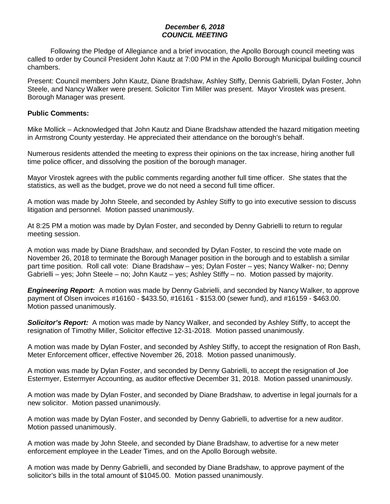## *December 6, 2018 COUNCIL MEETING*

Following the Pledge of Allegiance and a brief invocation, the Apollo Borough council meeting was called to order by Council President John Kautz at 7:00 PM in the Apollo Borough Municipal building council chambers.

Present: Council members John Kautz, Diane Bradshaw, Ashley Stiffy, Dennis Gabrielli, Dylan Foster, John Steele, and Nancy Walker were present. Solicitor Tim Miller was present. Mayor Virostek was present. Borough Manager was present.

#### **Public Comments:**

Mike Mollick – Acknowledged that John Kautz and Diane Bradshaw attended the hazard mitigation meeting in Armstrong County yesterday. He appreciated their attendance on the borough's behalf.

Numerous residents attended the meeting to express their opinions on the tax increase, hiring another full time police officer, and dissolving the position of the borough manager.

Mayor Virostek agrees with the public comments regarding another full time officer. She states that the statistics, as well as the budget, prove we do not need a second full time officer.

A motion was made by John Steele, and seconded by Ashley Stiffy to go into executive session to discuss litigation and personnel. Motion passed unanimously.

At 8:25 PM a motion was made by Dylan Foster, and seconded by Denny Gabrielli to return to regular meeting session.

A motion was made by Diane Bradshaw, and seconded by Dylan Foster, to rescind the vote made on November 26, 2018 to terminate the Borough Manager position in the borough and to establish a similar part time position. Roll call vote: Diane Bradshaw – yes; Dylan Foster – yes; Nancy Walker- no; Denny Gabrielli – yes; John Steele – no; John Kautz – yes; Ashley Stiffy – no. Motion passed by majority.

*Engineering Report:* A motion was made by Denny Gabrielli, and seconded by Nancy Walker, to approve payment of Olsen invoices #16160 - \$433.50, #16161 - \$153.00 (sewer fund), and #16159 - \$463.00. Motion passed unanimously.

*Solicitor's Report:* A motion was made by Nancy Walker, and seconded by Ashley Stiffy, to accept the resignation of Timothy Miller, Solicitor effective 12-31-2018. Motion passed unanimously.

A motion was made by Dylan Foster, and seconded by Ashley Stiffy, to accept the resignation of Ron Bash, Meter Enforcement officer, effective November 26, 2018. Motion passed unanimously.

A motion was made by Dylan Foster, and seconded by Denny Gabrielli, to accept the resignation of Joe Estermyer, Estermyer Accounting, as auditor effective December 31, 2018. Motion passed unanimously.

A motion was made by Dylan Foster, and seconded by Diane Bradshaw, to advertise in legal journals for a new solicitor. Motion passed unanimously.

A motion was made by Dylan Foster, and seconded by Denny Gabrielli, to advertise for a new auditor. Motion passed unanimously.

A motion was made by John Steele, and seconded by Diane Bradshaw, to advertise for a new meter enforcement employee in the Leader Times, and on the Apollo Borough website.

A motion was made by Denny Gabrielli, and seconded by Diane Bradshaw, to approve payment of the solicitor's bills in the total amount of \$1045.00. Motion passed unanimously.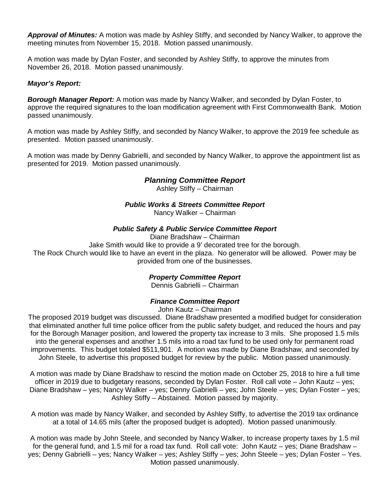*Approval of Minutes:* A motion was made by Ashley Stiffy, and seconded by Nancy Walker, to approve the meeting minutes from November 15, 2018. Motion passed unanimously.

A motion was made by Dylan Foster, and seconded by Ashley Stiffy, to approve the minutes from November 26, 2018. Motion passed unanimously.

## *Mayor's Report:*

*Borough Manager Report:* A motion was made by Nancy Walker, and seconded by Dylan Foster, to approve the required signatures to the loan modification agreement with First Commonwealth Bank. Motion passed unanimously.

A motion was made by Ashley Stiffy, and seconded by Nancy Walker, to approve the 2019 fee schedule as presented. Motion passed unanimously.

A motion was made by Denny Gabrielli, and seconded by Nancy Walker, to approve the appointment list as presented for 2019. Motion passed unanimously.

# *Planning Committee Report*

Ashley Stiffy – Chairman

### *Public Works & Streets Committee Report*

Nancy Walker – Chairman

### *Public Safety & Public Service Committee Report*

Diane Bradshaw – Chairman

Jake Smith would like to provide a 9' decorated tree for the borough.

The Rock Church would like to have an event in the plaza. No generator will be allowed. Power may be provided from one of the businesses.

# *Property Committee Report*

Dennis Gabrielli – Chairman

#### *Finance Committee Report*

John Kautz – Chairman

The proposed 2019 budget was discussed. Diane Bradshaw presented a modified budget for consideration that eliminated another full time police officer from the public safety budget, and reduced the hours and pay for the Borough Manager position, and lowered the property tax increase to 3 mils. She proposed 1.5 mils into the general expenses and another 1.5 mils into a road tax fund to be used only for permanent road improvements. This budget totaled \$511,901. A motion was made by Diane Bradshaw, and seconded by John Steele, to advertise this proposed budget for review by the public. Motion passed unanimously.

A motion was made by Diane Bradshaw to rescind the motion made on October 25, 2018 to hire a full time officer in 2019 due to budgetary reasons, seconded by Dylan Foster. Roll call vote – John Kautz – yes; Diane Bradshaw – yes; Nancy Walker – yes; Denny Gabrielli – yes; John Steele – yes; Dylan Foster – yes; Ashley Stiffy – Abstained. Motion passed by majority.

A motion was made by Nancy Walker, and seconded by Ashley Stiffy, to advertise the 2019 tax ordinance at a total of 14.65 mils (after the proposed budget is adopted). Motion passed unanimously.

A motion was made by John Steele, and seconded by Nancy Walker, to increase property taxes by 1.5 mil for the general fund, and 1.5 mil for a road tax fund. Roll call vote: John Kautz – yes; Diane Bradshaw – yes; Denny Gabrielli – yes; Nancy Walker – yes; Ashley Stiffy – yes; John Steele – yes; Dylan Foster – Yes. Motion passed unanimously.